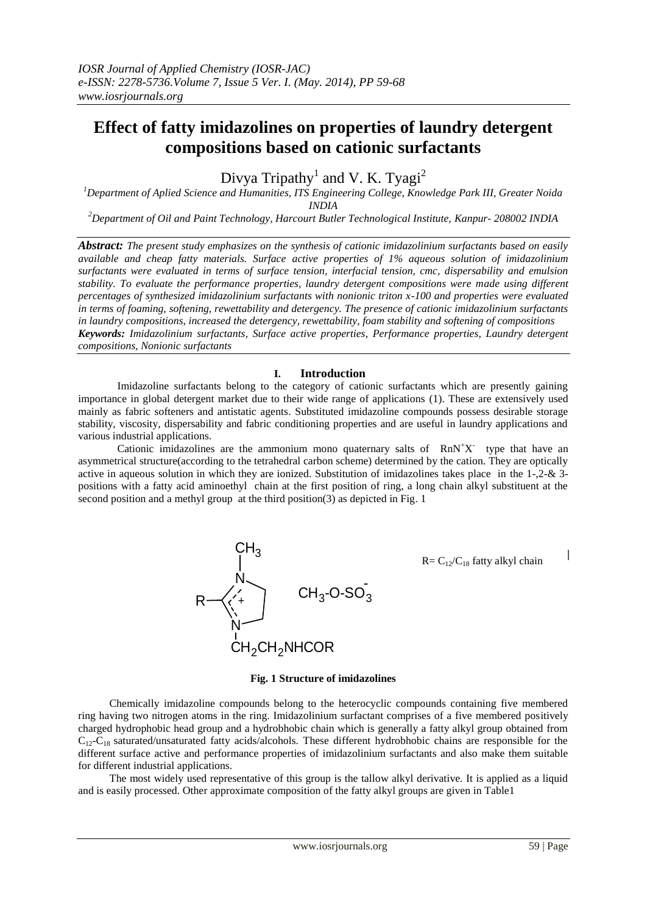# **Effect of fatty imidazolines on properties of laundry detergent compositions based on cationic surfactants**

Divya Tripathy<sup>1</sup> and V. K. Tyagi<sup>2</sup>

*<sup>1</sup>Department of Aplied Science and Humanities, ITS Engineering College, Knowledge Park III, Greater Noida INDIA*

*<sup>2</sup>Department of Oil and Paint Technology, Harcourt Butler Technological Institute, Kanpur- 208002 INDIA*

*Abstract: The present study emphasizes on the synthesis of cationic imidazolinium surfactants based on easily available and cheap fatty materials. Surface active properties of 1% aqueous solution of imidazolinium surfactants were evaluated in terms of surface tension, interfacial tension, cmc, dispersability and emulsion stability. To evaluate the performance properties, laundry detergent compositions were made using different percentages of synthesized imidazolinium surfactants with nonionic triton x-100 and properties were evaluated in terms of foaming, softening, rewettability and detergency. The presence of cationic imidazolinium surfactants in laundry compositions, increased the detergency, rewettability, foam stability and softening of compositions Keywords: Imidazolinium surfactants, Surface active properties, Performance properties, Laundry detergent compositions, Nonionic surfactants*

## **I. Introduction**

Imidazoline surfactants belong to the category of cationic surfactants which are presently gaining importance in global detergent market due to their wide range of applications (1). These are extensively used mainly as fabric softeners and antistatic agents. Substituted imidazoline compounds possess desirable storage stability, viscosity, dispersability and fabric conditioning properties and are useful in laundry applications and various industrial applications.

Cationic imidazolines are the ammonium mono quaternary salts of  $RnN^{\dagger}X$  type that have an asymmetrical structure(according to the tetrahedral carbon scheme) determined by the cation. They are optically active in aqueous solution in which they are ionized. Substitution of imidazolines takes place in the 1-,2-& 3 positions with a fatty acid aminoethyl chain at the first position of ring, a long chain alkyl substituent at the second position and a methyl group at the third position(3) as depicted in Fig. 1



#### **Fig. 1 Structure of imidazolines**

Chemically imidazoline compounds belong to the heterocyclic compounds containing five membered ring having two nitrogen atoms in the ring. Imidazolinium surfactant comprises of a five membered positively charged hydrophobic head group and a hydrobhobic chain which is generally a fatty alkyl group obtained from  $C_{12}-C_{18}$  saturated/unsaturated fatty acids/alcohols. These different hydrobhobic chains are responsible for the different surface active and performance properties of imidazolinium surfactants and also make them suitable for different industrial applications.

The most widely used representative of this group is the tallow alkyl derivative. It is applied as a liquid and is easily processed. Other approximate composition of the fatty alkyl groups are given in Table1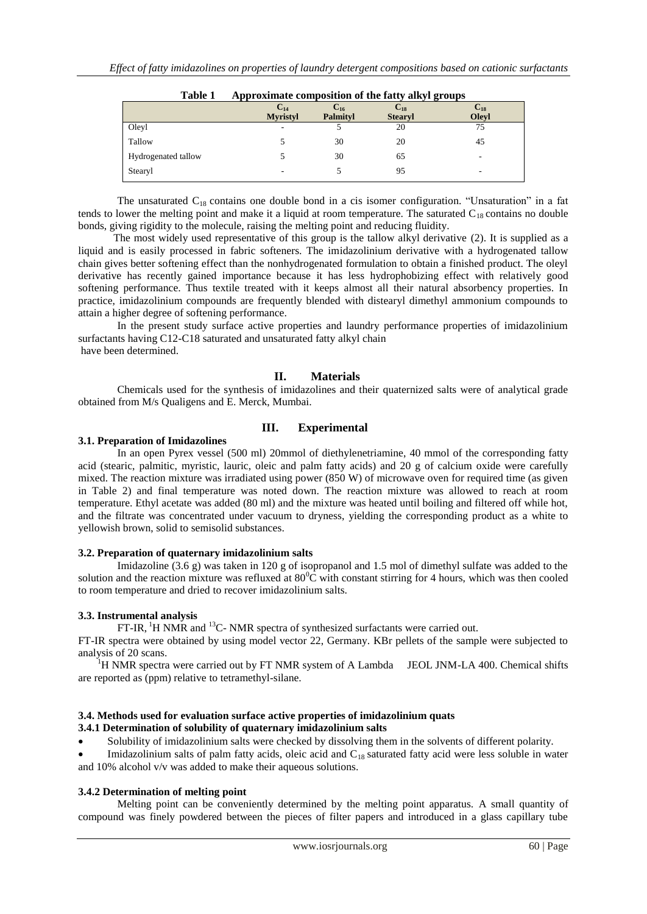| 1 avie 1            |                 | Approximate composition of the fatty alkyl groups |                |              |  |
|---------------------|-----------------|---------------------------------------------------|----------------|--------------|--|
|                     | $\bf C_{14}$    | $C_{16}$                                          | $\bf C_{18}$   | $\bf C_{18}$ |  |
|                     | <b>Myristyl</b> | <b>Palmityl</b>                                   | <b>Stearyl</b> | <b>Olevl</b> |  |
| Oleyl               |                 |                                                   | 20             | 75           |  |
| Tallow              |                 | 30                                                | 20             | 45           |  |
| Hydrogenated tallow |                 | 30                                                | 65             |              |  |
| Stearyl             |                 |                                                   | 95             | -            |  |

**Table 1 Approximate composition of the fatty alkyl groups** 

The unsaturated  $C_{18}$  contains one double bond in a cis isomer configuration. "Unsaturation" in a fat tends to lower the melting point and make it a liquid at room temperature. The saturated  $C_{18}$  contains no double bonds, giving rigidity to the molecule, raising the melting point and reducing fluidity.

 The most widely used representative of this group is the tallow alkyl derivative (2). It is supplied as a liquid and is easily processed in fabric softeners. The imidazolinium derivative with a hydrogenated tallow chain gives better softening effect than the nonhydrogenated formulation to obtain a finished product. The oleyl derivative has recently gained importance because it has less hydrophobizing effect with relatively good softening performance. Thus textile treated with it keeps almost all their natural absorbency properties. In practice, imidazolinium compounds are frequently blended with distearyl dimethyl ammonium compounds to attain a higher degree of softening performance.

In the present study surface active properties and laundry performance properties of imidazolinium surfactants having C12-C18 saturated and unsaturated fatty alkyl chain have been determined.

## **II. Materials**

Chemicals used for the synthesis of imidazolines and their quaternized salts were of analytical grade obtained from M/s Qualigens and E. Merck, Mumbai.

## **III. Experimental**

## **3.1. Preparation of Imidazolines**

In an open Pyrex vessel (500 ml) 20mmol of diethylenetriamine, 40 mmol of the corresponding fatty acid (stearic, palmitic, myristic, lauric, oleic and palm fatty acids) and 20 g of calcium oxide were carefully mixed. The reaction mixture was irradiated using power (850 W) of microwave oven for required time (as given in Table 2) and final temperature was noted down. The reaction mixture was allowed to reach at room temperature. Ethyl acetate was added (80 ml) and the mixture was heated until boiling and filtered off while hot, and the filtrate was concentrated under vacuum to dryness, yielding the corresponding product as a white to yellowish brown, solid to semisolid substances.

#### **3.2. Preparation of quaternary imidazolinium salts**

Imidazoline (3.6 g) was taken in 120 g of isopropanol and 1.5 mol of dimethyl sulfate was added to the solution and the reaction mixture was refluxed at  $80^{\circ}$ C with constant stirring for 4 hours, which was then cooled to room temperature and dried to recover imidazolinium salts.

## **3.3. Instrumental analysis**

FT-IR, <sup>1</sup>H NMR and <sup>13</sup>C- NMR spectra of synthesized surfactants were carried out.

FT-IR spectra were obtained by using model vector 22, Germany. KBr pellets of the sample were subjected to analysis of 20 scans.

 $1$ <sup>1</sup>H NMR spectra were carried out by FT NMR system of A Lambda JEOL JNM-LA 400. Chemical shifts are reported as (ppm) relative to tetramethyl-silane.

## **3.4. Methods used for evaluation surface active properties of imidazolinium quats**

## **3.4.1 Determination of solubility of quaternary imidazolinium salts**

Solubility of imidazolinium salts were checked by dissolving them in the solvents of different polarity.

Imidazolinium salts of palm fatty acids, oleic acid and  $C_{18}$  saturated fatty acid were less soluble in water and 10% alcohol v/v was added to make their aqueous solutions.

## **3.4.2 Determination of melting point**

Melting point can be conveniently determined by the melting point apparatus. A small quantity of compound was finely powdered between the pieces of filter papers and introduced in a glass capillary tube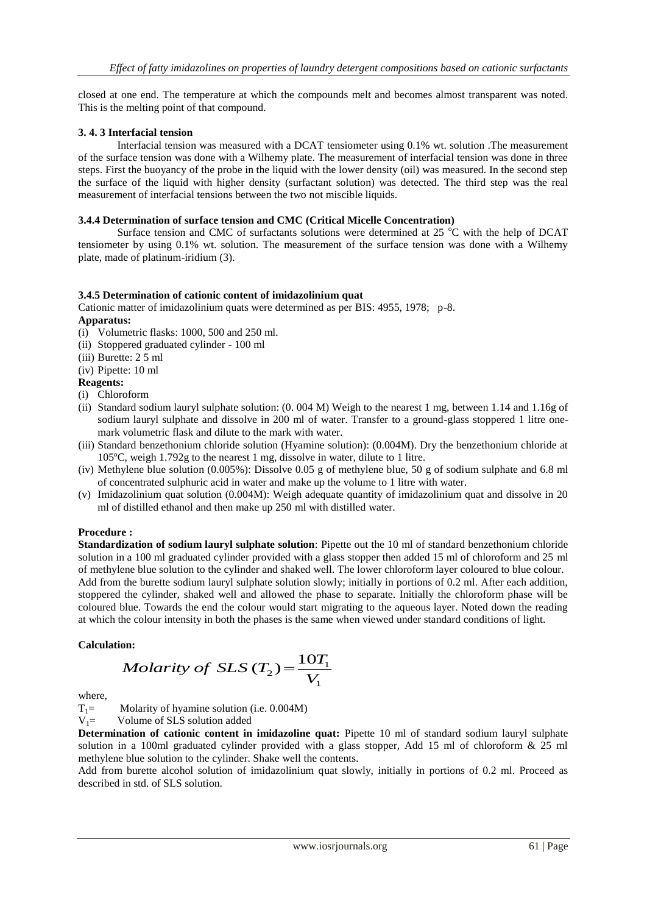closed at one end. The temperature at which the compounds melt and becomes almost transparent was noted. This is the melting point of that compound.

## **3. 4. 3 Interfacial tension**

 Interfacial tension was measured with a DCAT tensiometer using 0.1% wt. solution .The measurement of the surface tension was done with a Wilhemy plate. The measurement of interfacial tension was done in three steps. First the buoyancy of the probe in the liquid with the lower density (oil) was measured. In the second step the surface of the liquid with higher density (surfactant solution) was detected. The third step was the real measurement of interfacial tensions between the two not miscible liquids.

#### **3.4.4 Determination of surface tension and CMC (Critical Micelle Concentration)**

Surface tension and CMC of surfactants solutions were determined at 25  $\degree$ C with the help of DCAT tensiometer by using 0.1% wt. solution. The measurement of the surface tension was done with a Wilhemy plate, made of platinum-iridium (3).

#### **3.4.5 Determination of cationic content of imidazolinium quat**

Cationic matter of imidazolinium quats were determined as per BIS: 4955, 1978; p-8.

#### **Apparatus:**

- (i) Volumetric flasks: 1000, 500 and 250 ml.
- (ii) Stoppered graduated cylinder 100 ml
- (iii) Burette: 2 5 ml
- (iv) Pipette: 10 ml

## **Reagents:**

- (i) Chloroform
- (ii) Standard sodium lauryl sulphate solution: (0. 004 M) Weigh to the nearest 1 mg, between 1.14 and 1.16g of sodium lauryl sulphate and dissolve in 200 ml of water. Transfer to a ground-glass stoppered 1 litre onemark volumetric flask and dilute to the mark with water.
- (iii) Standard benzethonium chloride solution (Hyamine solution): (0.004M). Dry the benzethonium chloride at 105ºC, weigh 1.792g to the nearest 1 mg, dissolve in water, dilute to 1 litre.
- (iv) Methylene blue solution (0.005%): Dissolve 0.05 g of methylene blue, 50 g of sodium sulphate and 6.8 ml of concentrated sulphuric acid in water and make up the volume to 1 litre with water.
- (v) Imidazolinium quat solution (0.004M): Weigh adequate quantity of imidazolinium quat and dissolve in 20 ml of distilled ethanol and then make up 250 ml with distilled water.

#### **Procedure :**

**Standardization of sodium lauryl sulphate solution**: Pipette out the 10 ml of standard benzethonium chloride solution in a 100 ml graduated cylinder provided with a glass stopper then added 15 ml of chloroform and 25 ml of methylene blue solution to the cylinder and shaked well. The lower chloroform layer coloured to blue colour. Add from the burette sodium lauryl sulphate solution slowly; initially in portions of 0.2 ml. After each addition, stoppered the cylinder, shaked well and allowed the phase to separate. Initially the chloroform phase will be coloured blue. Towards the end the colour would start migrating to the aqueous layer. Noted down the reading at which the colour intensity in both the phases is the same when viewed under standard conditions of light.

#### **Calculation:**

$$
Molarity \ of \ SLS \ (T_2) = \frac{10T_1}{V_1}
$$

where,

$$
T_1 = \text{Molarity of hyamine solution (i.e. } 0.004 \text{M})
$$

 $V_1$ = Volume of SLS solution added

**Determination of cationic content in imidazoline quat:** Pipette 10 ml of standard sodium lauryl sulphate solution in a 100ml graduated cylinder provided with a glass stopper, Add 15 ml of chloroform & 25 ml methylene blue solution to the cylinder. Shake well the contents.

Add from burette alcohol solution of imidazolinium quat slowly, initially in portions of 0.2 ml. Proceed as described in std. of SLS solution.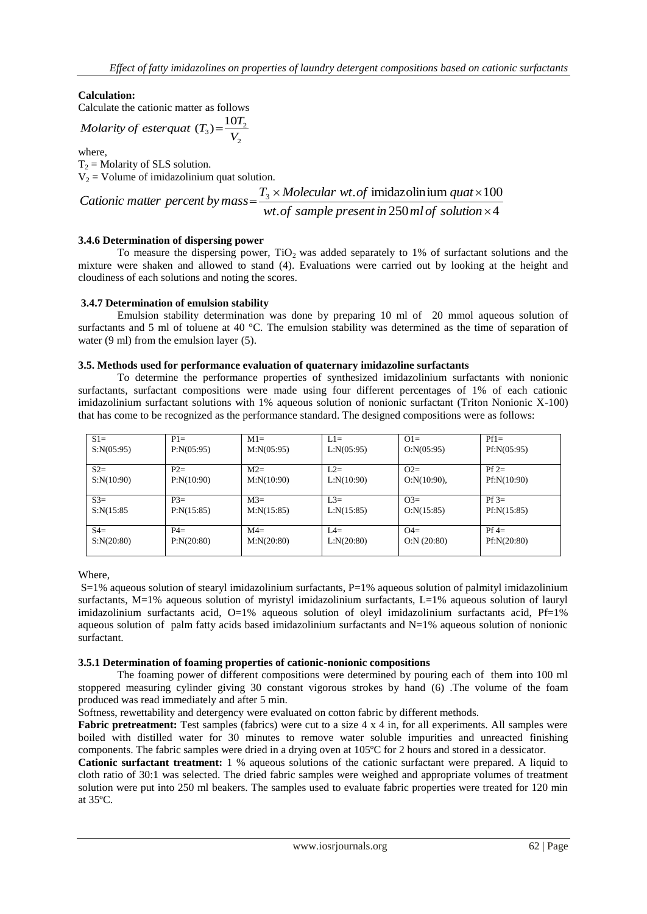## **Calculation:**

Calculate the cationic matter as follows

Molarity of *esterquat* 
$$
(T_3) = \frac{10T_2}{V_2}
$$

where,

 $T_2$  = Molarity of SLS solution.  $V_2$  = Volume of imidazolinium quat solution.

of sample present in  $250$  ml of solution  $\times 4$  $T_3 \times Molecular$  wt.of imidazolinium  $quat \times 100$  $\times$  $\times$  Molecular wt. of imidazolinium quat $\times$  $=$ *wt of sample presentin ml of solution <sup>T</sup> Molecular wt of quat Cationic matter percent by mass*

## **3.4.6 Determination of dispersing power**

To measure the dispersing power,  $TiO<sub>2</sub>$  was added separately to 1% of surfactant solutions and the mixture were shaken and allowed to stand (4). Evaluations were carried out by looking at the height and cloudiness of each solutions and noting the scores.

## **3.4.7 Determination of emulsion stability**

 Emulsion stability determination was done by preparing 10 ml of 20 mmol aqueous solution of surfactants and 5 ml of toluene at 40 °C. The emulsion stability was determined as the time of separation of water (9 ml) from the emulsion layer (5).

## **3.5. Methods used for performance evaluation of quaternary imidazoline surfactants**

To determine the performance properties of synthesized imidazolinium surfactants with nonionic surfactants, surfactant compositions were made using four different percentages of 1% of each cationic imidazolinium surfactant solutions with 1% aqueous solution of nonionic surfactant (Triton Nonionic X-100) that has come to be recognized as the performance standard. The designed compositions were as follows:

| $S1=$       | $P1 =$      | $M1=$       | $L1 =$      | $Q1=$          | $Pf1=$      |
|-------------|-------------|-------------|-------------|----------------|-------------|
| S: N(05:95) | P: N(05:95) | M: N(05:95) | L: N(05:95) | O:N(05:95)     | Pf:N(05:95) |
| $S2=$       | $P2=$       | $M2=$       | $L2=$       | $Q2=$          | $Pf2=$      |
| S: N(10:90) | P: N(10:90) | M: N(10:90) | L: N(10:90) | $O:N(10:90)$ , | Pf:N(10:90) |
| $S3=$       | $P3=$       | $M3=$       | $L3=$       | $O3=$          | $Pf = 3$    |
| S:N(15:85)  | P: N(15:85) | M: N(15:85) | L: N(15:85) | O:N(15:85)     | Pf:N(15:85) |
| $S4=$       | $P4=$       | $M4=$       | $IA=$       | $Q4=$          | $Pf =$      |
| S: N(20:80) | P: N(20:80) | M: N(20:80) | L: N(20:80) | O:N (20:80)    | Pf:N(20:80) |

Where,

 $S=1%$  aqueous solution of stearyl imidazolinium surfactants,  $P=1%$  aqueous solution of palmityl imidazolinium surfactants, M=1% aqueous solution of myristyl imidazolinium surfactants, L=1% aqueous solution of lauryl imidazolinium surfactants acid, O=1% aqueous solution of oleyl imidazolinium surfactants acid, Pf=1% aqueous solution of palm fatty acids based imidazolinium surfactants and  $N=1\%$  aqueous solution of nonionic surfactant.

#### **3.5.1 Determination of foaming properties of cationic-nonionic compositions**

The foaming power of different compositions were determined by pouring each of them into 100 ml stoppered measuring cylinder giving 30 constant vigorous strokes by hand (6) .The volume of the foam produced was read immediately and after 5 min.

Softness, rewettability and detergency were evaluated on cotton fabric by different methods.

**Fabric pretreatment:** Test samples (fabrics) were cut to a size 4 x 4 in, for all experiments. All samples were boiled with distilled water for 30 minutes to remove water soluble impurities and unreacted finishing components. The fabric samples were dried in a drying oven at 105ºC for 2 hours and stored in a dessicator.

**Cationic surfactant treatment:** 1 % aqueous solutions of the cationic surfactant were prepared. A liquid to cloth ratio of 30:1 was selected. The dried fabric samples were weighed and appropriate volumes of treatment solution were put into 250 ml beakers. The samples used to evaluate fabric properties were treated for 120 min at 35ºC.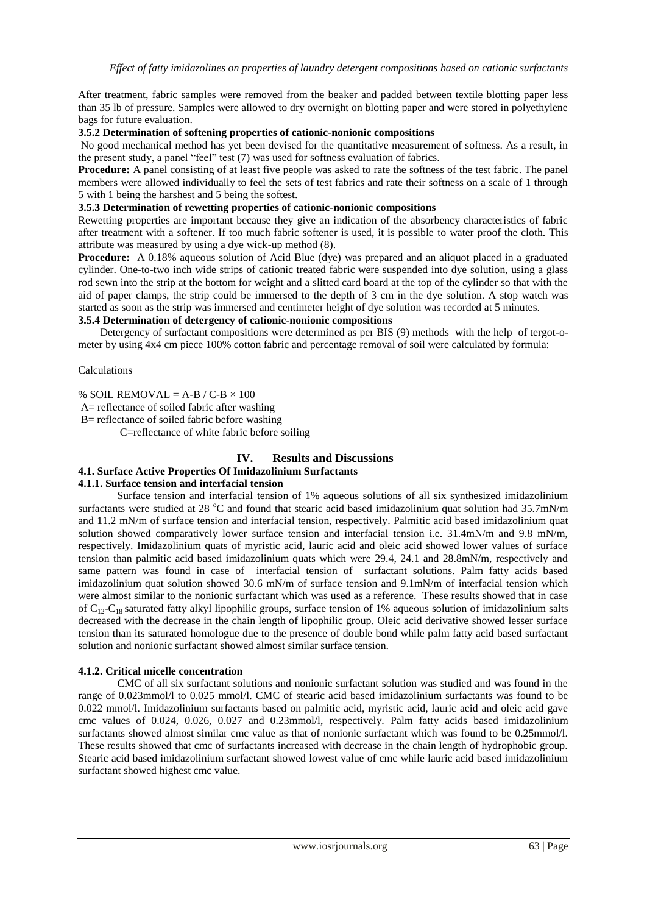After treatment, fabric samples were removed from the beaker and padded between textile blotting paper less than 35 lb of pressure. Samples were allowed to dry overnight on blotting paper and were stored in polyethylene bags for future evaluation.

#### **3.5.2 Determination of softening properties of cationic-nonionic compositions**

No good mechanical method has yet been devised for the quantitative measurement of softness. As a result, in the present study, a panel "feel" test (7) was used for softness evaluation of fabrics.

**Procedure:** A panel consisting of at least five people was asked to rate the softness of the test fabric. The panel members were allowed individually to feel the sets of test fabrics and rate their softness on a scale of 1 through 5 with 1 being the harshest and 5 being the softest.

#### **3.5.3 Determination of rewetting properties of cationic-nonionic compositions**

Rewetting properties are important because they give an indication of the absorbency characteristics of fabric after treatment with a softener. If too much fabric softener is used, it is possible to water proof the cloth. This attribute was measured by using a dye wick-up method (8).

**Procedure:** A 0.18% aqueous solution of Acid Blue (dye) was prepared and an aliquot placed in a graduated cylinder. One-to-two inch wide strips of cationic treated fabric were suspended into dye solution, using a glass rod sewn into the strip at the bottom for weight and a slitted card board at the top of the cylinder so that with the aid of paper clamps, the strip could be immersed to the depth of 3 cm in the dye solution. A stop watch was started as soon as the strip was immersed and centimeter height of dye solution was recorded at 5 minutes.

## **3.5.4 Determination of detergency of cationic-nonionic compositions**

 Detergency of surfactant compositions were determined as per BIS (9) methods with the help of tergot-ometer by using 4x4 cm piece 100% cotton fabric and percentage removal of soil were calculated by formula:

#### Calculations

% SOIL REMOVAL =  $A-B/C-B \times 100$ 

A= reflectance of soiled fabric after washing

B= reflectance of soiled fabric before washing

C=reflectance of white fabric before soiling

# **IV. Results and Discussions**

## **4.1. Surface Active Properties Of Imidazolinium Surfactants**

#### **4.1.1. Surface tension and interfacial tension**

Surface tension and interfacial tension of 1% aqueous solutions of all six synthesized imidazolinium surfactants were studied at 28  $\degree$ C and found that stearic acid based imidazolinium quat solution had 35.7mN/m and 11.2 mN/m of surface tension and interfacial tension, respectively. Palmitic acid based imidazolinium quat solution showed comparatively lower surface tension and interfacial tension i.e. 31.4mN/m and 9.8 mN/m, respectively. Imidazolinium quats of myristic acid, lauric acid and oleic acid showed lower values of surface tension than palmitic acid based imidazolinium quats which were 29.4, 24.1 and 28.8mN/m, respectively and same pattern was found in case of interfacial tension of surfactant solutions. Palm fatty acids based imidazolinium quat solution showed 30.6 mN/m of surface tension and 9.1mN/m of interfacial tension which were almost similar to the nonionic surfactant which was used as a reference. These results showed that in case of  $C_{12}-C_{18}$  saturated fatty alkyl lipophilic groups, surface tension of 1% aqueous solution of imidazolinium salts decreased with the decrease in the chain length of lipophilic group. Oleic acid derivative showed lesser surface tension than its saturated homologue due to the presence of double bond while palm fatty acid based surfactant solution and nonionic surfactant showed almost similar surface tension.

#### **4.1.2. Critical micelle concentration**

CMC of all six surfactant solutions and nonionic surfactant solution was studied and was found in the range of 0.023mmol/l to 0.025 mmol/l. CMC of stearic acid based imidazolinium surfactants was found to be 0.022 mmol/l. Imidazolinium surfactants based on palmitic acid, myristic acid, lauric acid and oleic acid gave cmc values of 0.024, 0.026, 0.027 and 0.23mmol/l, respectively. Palm fatty acids based imidazolinium surfactants showed almost similar cmc value as that of nonionic surfactant which was found to be 0.25mmol/l. These results showed that cmc of surfactants increased with decrease in the chain length of hydrophobic group. Stearic acid based imidazolinium surfactant showed lowest value of cmc while lauric acid based imidazolinium surfactant showed highest cmc value.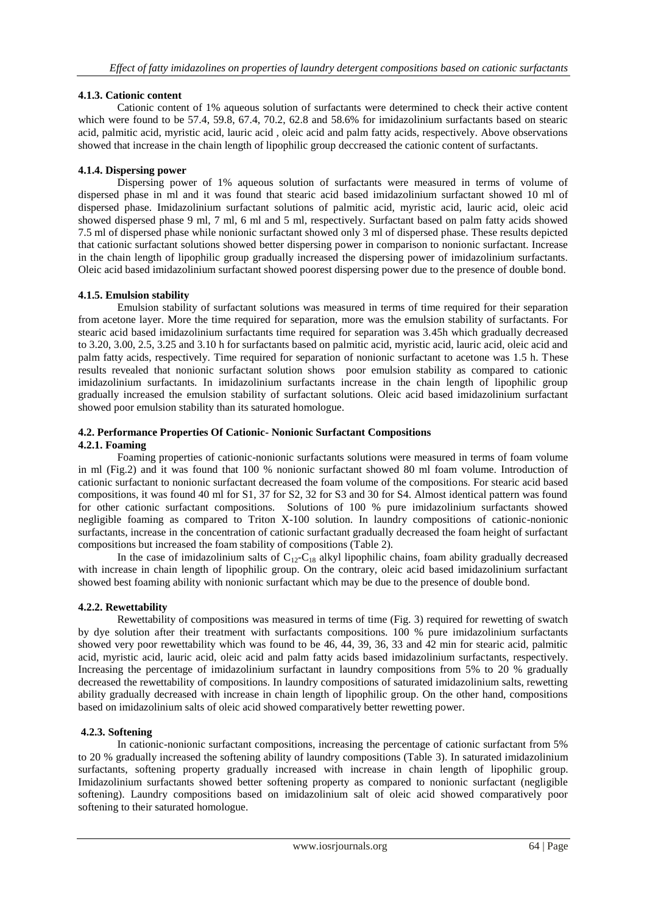## **4.1.3. Cationic content**

Cationic content of 1% aqueous solution of surfactants were determined to check their active content which were found to be 57.4, 59.8, 67.4, 70.2, 62.8 and 58.6% for imidazolinium surfactants based on stearic acid, palmitic acid, myristic acid, lauric acid , oleic acid and palm fatty acids, respectively. Above observations showed that increase in the chain length of lipophilic group deccreased the cationic content of surfactants.

## **4.1.4. Dispersing power**

Dispersing power of 1% aqueous solution of surfactants were measured in terms of volume of dispersed phase in ml and it was found that stearic acid based imidazolinium surfactant showed 10 ml of dispersed phase. Imidazolinium surfactant solutions of palmitic acid, myristic acid, lauric acid, oleic acid showed dispersed phase 9 ml, 7 ml, 6 ml and 5 ml, respectively. Surfactant based on palm fatty acids showed 7.5 ml of dispersed phase while nonionic surfactant showed only 3 ml of dispersed phase. These results depicted that cationic surfactant solutions showed better dispersing power in comparison to nonionic surfactant. Increase in the chain length of lipophilic group gradually increased the dispersing power of imidazolinium surfactants. Oleic acid based imidazolinium surfactant showed poorest dispersing power due to the presence of double bond.

## **4.1.5. Emulsion stability**

Emulsion stability of surfactant solutions was measured in terms of time required for their separation from acetone layer. More the time required for separation, more was the emulsion stability of surfactants. For stearic acid based imidazolinium surfactants time required for separation was 3.45h which gradually decreased to 3.20, 3.00, 2.5, 3.25 and 3.10 h for surfactants based on palmitic acid, myristic acid, lauric acid, oleic acid and palm fatty acids, respectively. Time required for separation of nonionic surfactant to acetone was 1.5 h. These results revealed that nonionic surfactant solution shows poor emulsion stability as compared to cationic imidazolinium surfactants. In imidazolinium surfactants increase in the chain length of lipophilic group gradually increased the emulsion stability of surfactant solutions. Oleic acid based imidazolinium surfactant showed poor emulsion stability than its saturated homologue.

## **4.2. Performance Properties Of Cationic- Nonionic Surfactant Compositions 4.2.1. Foaming**

Foaming properties of cationic-nonionic surfactants solutions were measured in terms of foam volume in ml (Fig.2) and it was found that 100 % nonionic surfactant showed 80 ml foam volume. Introduction of cationic surfactant to nonionic surfactant decreased the foam volume of the compositions. For stearic acid based compositions, it was found 40 ml for S1, 37 for S2, 32 for S3 and 30 for S4. Almost identical pattern was found for other cationic surfactant compositions. Solutions of 100 % pure imidazolinium surfactants showed negligible foaming as compared to Triton X-100 solution. In laundry compositions of cationic-nonionic surfactants, increase in the concentration of cationic surfactant gradually decreased the foam height of surfactant compositions but increased the foam stability of compositions (Table 2).

In the case of imidazolinium salts of  $C_{12}$ -C<sub>18</sub> alkyl lipophilic chains, foam ability gradually decreased with increase in chain length of lipophilic group. On the contrary, oleic acid based imidazolinium surfactant showed best foaming ability with nonionic surfactant which may be due to the presence of double bond.

# **4.2.2. Rewettability**

Rewettability of compositions was measured in terms of time (Fig. 3) required for rewetting of swatch by dye solution after their treatment with surfactants compositions. 100 % pure imidazolinium surfactants showed very poor rewettability which was found to be 46, 44, 39, 36, 33 and 42 min for stearic acid, palmitic acid, myristic acid, lauric acid, oleic acid and palm fatty acids based imidazolinium surfactants, respectively. Increasing the percentage of imidazolinium surfactant in laundry compositions from 5% to 20 % gradually decreased the rewettability of compositions. In laundry compositions of saturated imidazolinium salts, rewetting ability gradually decreased with increase in chain length of lipophilic group. On the other hand, compositions based on imidazolinium salts of oleic acid showed comparatively better rewetting power.

## **4.2.3. Softening**

In cationic-nonionic surfactant compositions, increasing the percentage of cationic surfactant from 5% to 20 % gradually increased the softening ability of laundry compositions (Table 3). In saturated imidazolinium surfactants, softening property gradually increased with increase in chain length of lipophilic group. Imidazolinium surfactants showed better softening property as compared to nonionic surfactant (negligible softening). Laundry compositions based on imidazolinium salt of oleic acid showed comparatively poor softening to their saturated homologue.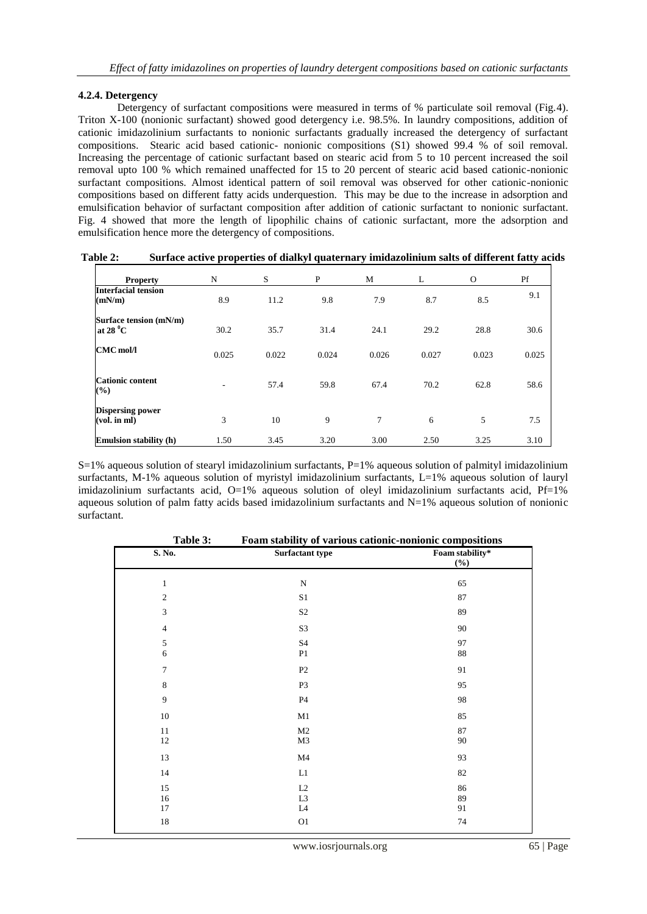## **4.2.4. Detergency**

Detergency of surfactant compositions were measured in terms of % particulate soil removal (Fig.4). Triton X-100 (nonionic surfactant) showed good detergency i.e. 98.5%. In laundry compositions, addition of cationic imidazolinium surfactants to nonionic surfactants gradually increased the detergency of surfactant compositions. Stearic acid based cationic- nonionic compositions (S1) showed 99.4 % of soil removal. Increasing the percentage of cationic surfactant based on stearic acid from 5 to 10 percent increased the soil removal upto 100 % which remained unaffected for 15 to 20 percent of stearic acid based cationic-nonionic surfactant compositions. Almost identical pattern of soil removal was observed for other cationic-nonionic compositions based on different fatty acids underquestion. This may be due to the increase in adsorption and emulsification behavior of surfactant composition after addition of cationic surfactant to nonionic surfactant. Fig. 4 showed that more the length of lipophilic chains of cationic surfactant, more the adsorption and emulsification hence more the detergency of compositions.

**Table 2: Surface active properties of dialkyl quaternary imidazolinium salts of different fatty acids**

| <b>Property</b>                              | N     | S     | P     | M     | L     | $\Omega$ | Pf    |
|----------------------------------------------|-------|-------|-------|-------|-------|----------|-------|
| Interfacial tension<br>(mN/m)                | 8.9   | 11.2  | 9.8   | 7.9   | 8.7   | 8.5      | 9.1   |
| Surface tension (mN/m)<br>at 28 $^{\circ}$ C | 30.2  | 35.7  | 31.4  | 24.1  | 29.2  | 28.8     | 30.6  |
| $CMC$ mol/l                                  | 0.025 | 0.022 | 0.024 | 0.026 | 0.027 | 0.023    | 0.025 |
| <b>Cationic content</b><br>(%)               | ۰     | 57.4  | 59.8  | 67.4  | 70.2  | 62.8     | 58.6  |
| <b>Dispersing power</b><br>$(vol.$ in $ml)$  | 3     | 10    | 9     | 7     | 6     | 5        | 7.5   |
| <b>Emulsion stability (h)</b>                | 1.50  | 3.45  | 3.20  | 3.00  | 2.50  | 3.25     | 3.10  |

 $S=1%$  aqueous solution of stearyl imidazolinium surfactants,  $P=1%$  aqueous solution of palmityl imidazolinium surfactants, M-1% aqueous solution of myristyl imidazolinium surfactants, L=1% aqueous solution of lauryl imidazolinium surfactants acid, O=1% aqueous solution of oleyl imidazolinium surfactants acid, Pf=1% aqueous solution of palm fatty acids based imidazolinium surfactants and N=1% aqueous solution of nonionic surfactant.

| Table 3:       | Foam stability of various cationic-nonionic compositions |                        |
|----------------|----------------------------------------------------------|------------------------|
| S. No.         | Surfactant type                                          | Foam stability*<br>(%) |
| $\mathbf{1}$   | ${\bf N}$                                                | 65                     |
| $\mathfrak{2}$ | $\rm S1$                                                 | $\bf 87$               |
| 3              | S <sub>2</sub>                                           | 89                     |
| $\overline{4}$ | S3                                                       | 90                     |
| $\sqrt{5}$     | S4                                                       | 97                     |
| $\sqrt{6}$     | P <sub>1</sub>                                           | $88\,$                 |
| $\tau$         | P2                                                       | 91                     |
| $\,8\,$        | P <sub>3</sub>                                           | 95                     |
| $\overline{9}$ | <b>P4</b>                                                | 98                     |
| $10\,$         | M1                                                       | 85                     |
| $11\,$         | $\mathbf{M}2$                                            | 87                     |
| $12\,$         | M3                                                       | 90                     |
| 13             | M <sub>4</sub>                                           | 93                     |
| 14             | $\mathop{\rm L{1}}$                                      | $82\,$                 |
| 15             | L2                                                       | 86                     |
| $16\,$         | L <sub>3</sub>                                           | 89                     |
| 17             | L4                                                       | 91                     |
| $18\,$         | O <sub>1</sub>                                           | 74                     |
|                |                                                          |                        |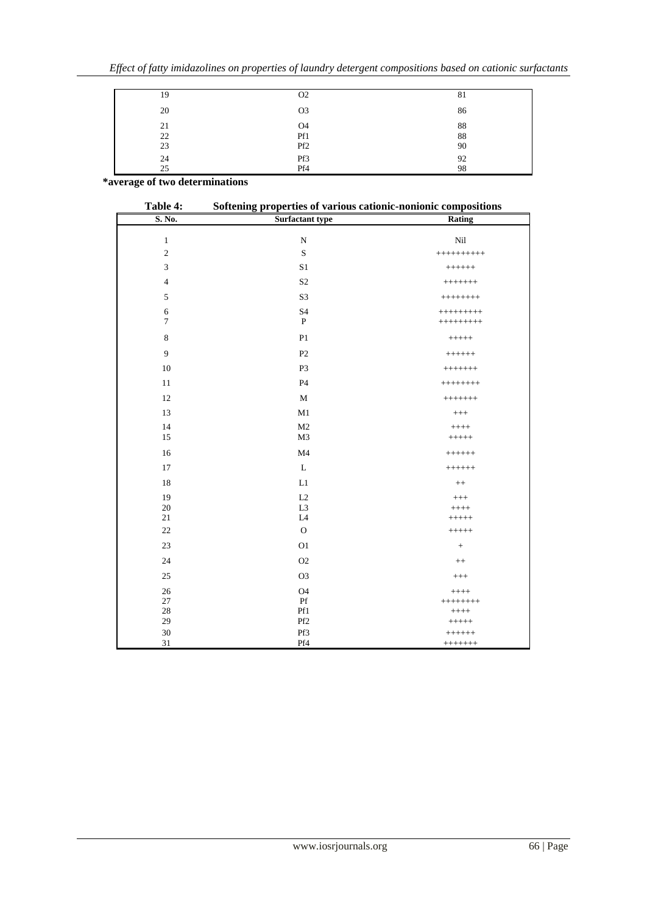| 19 | O <sub>2</sub>  | 81 |
|----|-----------------|----|
| 20 | O <sub>3</sub>  | 86 |
| 21 | O4              | 88 |
| 22 | Pf1             | 88 |
| 23 | Pf <sub>2</sub> | 90 |
| 24 | Pf3             | 92 |
| 25 | Pf4             | 98 |

 **\*average of two determinations**

| Table 4:       | Softening properties of various cationic-nonionic compositions |              |  |  |  |
|----------------|----------------------------------------------------------------|--------------|--|--|--|
| S. No.         | <b>Surfactant type</b>                                         | Rating       |  |  |  |
| $\mathbf{1}$   | ${\bf N}$                                                      | Nil          |  |  |  |
| $\sqrt{2}$     | $\mathbf S$                                                    | $++++++++++$ |  |  |  |
| $\overline{3}$ | S <sub>1</sub>                                                 | $++++++$     |  |  |  |
|                |                                                                |              |  |  |  |
| $\overline{4}$ | S <sub>2</sub>                                                 | $++++++$     |  |  |  |
| 5              | S <sub>3</sub>                                                 | $++++++$     |  |  |  |
| 6              | S <sub>4</sub>                                                 | $++++++++$   |  |  |  |
| $\overline{7}$ | $\mathbf{P}$                                                   | $++++++++$   |  |  |  |
| 8              | P <sub>1</sub>                                                 | $+++++$      |  |  |  |
| $\mathbf{Q}$   | P <sub>2</sub>                                                 | $++++++$     |  |  |  |
| 10             | P <sub>3</sub>                                                 | $++++++$     |  |  |  |
| $11\,$         | <b>P4</b>                                                      | $++++++$     |  |  |  |
| 12             | M                                                              | $++++++$     |  |  |  |
| 13             | M1                                                             | $^{+++}$     |  |  |  |
| 14             | M <sub>2</sub>                                                 | $+++++$      |  |  |  |
| 15             | M3                                                             | $+++++$      |  |  |  |
| 16             | M <sub>4</sub>                                                 | $++++++$     |  |  |  |
| 17             | L                                                              | $++++++$     |  |  |  |
| 18             | L1                                                             | $^{++}$      |  |  |  |
| 19             | L2                                                             | $^{+++}$     |  |  |  |
| 20             | L <sub>3</sub>                                                 | $+++++$      |  |  |  |
| $21\,$         | $_{\rm L4}$                                                    | $+++++$      |  |  |  |
| $22\,$         | $\mathbf{O}$                                                   | $+++++$      |  |  |  |
| 23             | O <sub>1</sub>                                                 |              |  |  |  |
| 24             | $O2$                                                           | $++$         |  |  |  |
| 25             | O <sub>3</sub>                                                 | $++++$       |  |  |  |
| 26             | <b>O4</b>                                                      | $+++++$      |  |  |  |
| 27             | $\mathbf{P}\mathbf{f}$                                         | $++++++$     |  |  |  |
| $28\,$         | Pf1                                                            | $+++++$      |  |  |  |
| 29             | Pf <sub>2</sub>                                                | $+++++$      |  |  |  |
| 30             | Pf3                                                            | $++++++$     |  |  |  |
| 31             | Pf4                                                            | $++++++$     |  |  |  |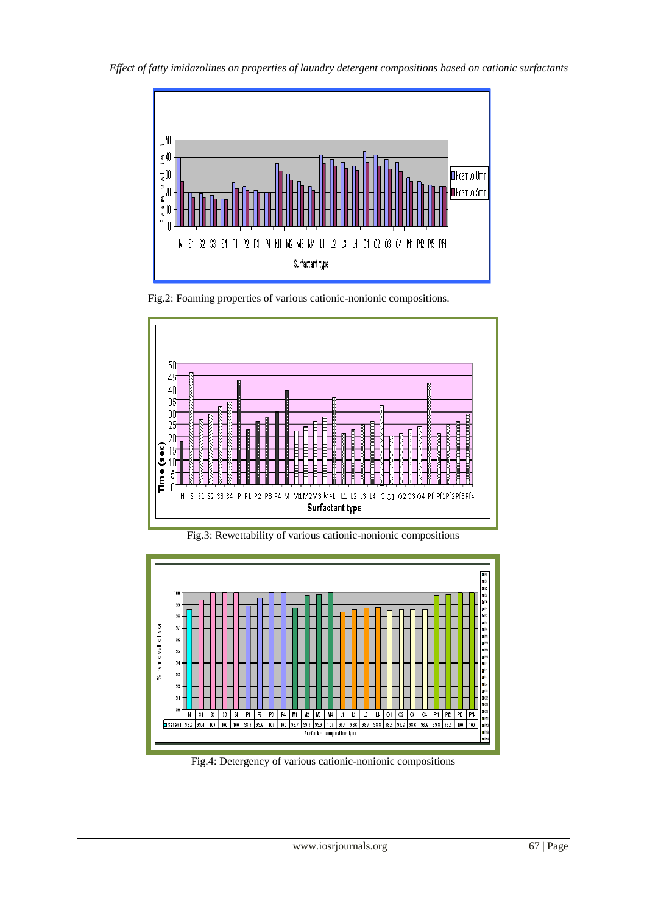

Fig.2: Foaming properties of various cationic-nonionic compositions.



Fig.3: Rewettability of various cationic-nonionic compositions



Fig.4: Detergency of various cationic-nonionic compositions